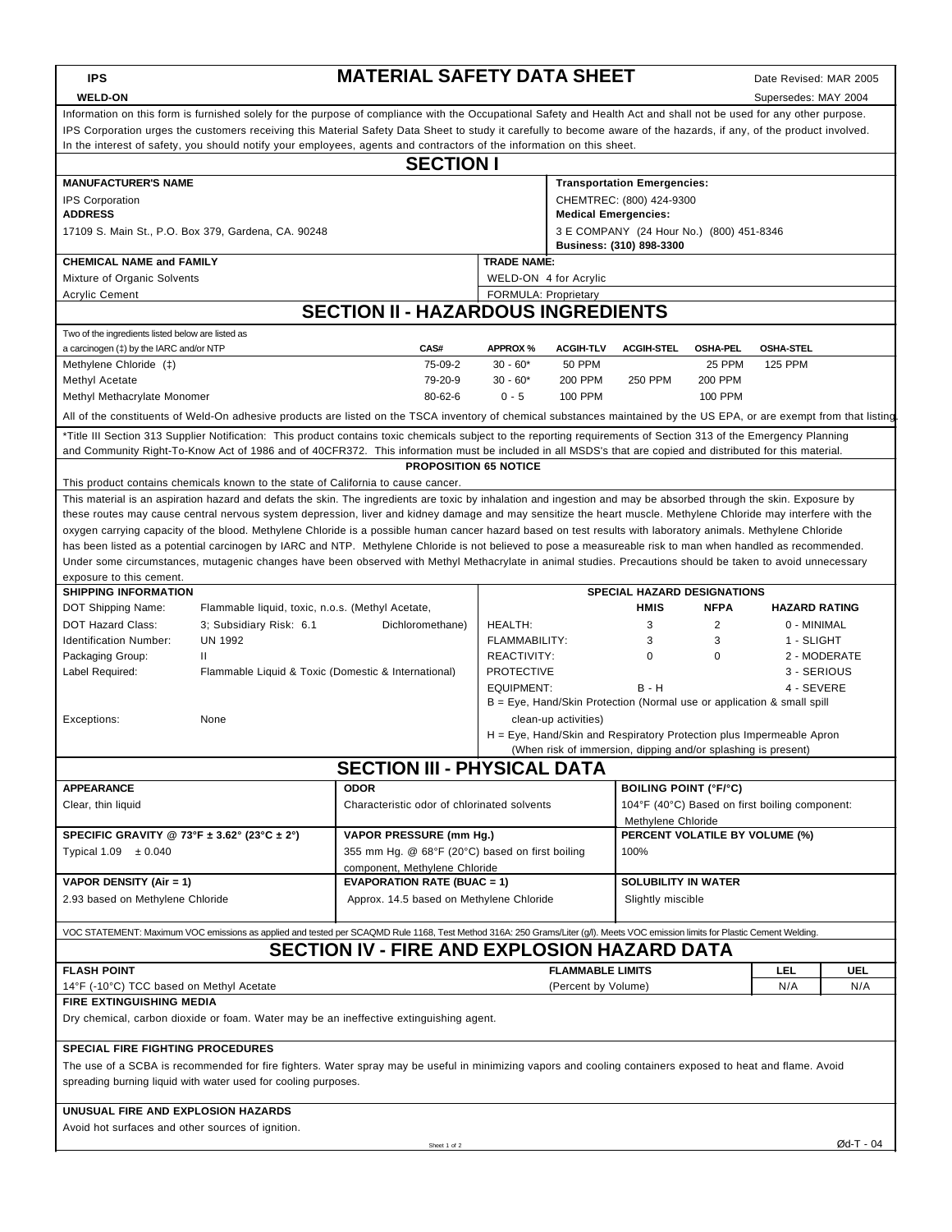## **IPS**<br> **MATERIAL SAFETY DATA SHEET** Date Revised: MAR 2005<br> **WELD-ON** Supersedes: MAY 2004

Supersedes: MAY 2004

| WELD-UN                                                                                                    |                                                                                   |                                                                                                                                                                                                                                                                                                                                             |                                                                                                                                       |                                                                        |                                                      |                 | Superseues. MAT ZUU4                           |              |  |
|------------------------------------------------------------------------------------------------------------|-----------------------------------------------------------------------------------|---------------------------------------------------------------------------------------------------------------------------------------------------------------------------------------------------------------------------------------------------------------------------------------------------------------------------------------------|---------------------------------------------------------------------------------------------------------------------------------------|------------------------------------------------------------------------|------------------------------------------------------|-----------------|------------------------------------------------|--------------|--|
|                                                                                                            |                                                                                   | Information on this form is furnished solely for the purpose of compliance with the Occupational Safety and Health Act and shall not be used for any other purpose.<br>IPS Corporation urges the customers receiving this Material Safety Data Sheet to study it carefully to become aware of the hazards, if any, of the product involved. |                                                                                                                                       |                                                                        |                                                      |                 |                                                |              |  |
|                                                                                                            |                                                                                   | In the interest of safety, you should notify your employees, agents and contractors of the information on this sheet.                                                                                                                                                                                                                       |                                                                                                                                       |                                                                        |                                                      |                 |                                                |              |  |
| <b>MANUFACTURER'S NAME</b>                                                                                 |                                                                                   | <b>SECTION I</b>                                                                                                                                                                                                                                                                                                                            |                                                                                                                                       |                                                                        | <b>Transportation Emergencies:</b>                   |                 |                                                |              |  |
| <b>IPS Corporation</b>                                                                                     |                                                                                   |                                                                                                                                                                                                                                                                                                                                             |                                                                                                                                       |                                                                        | CHEMTREC: (800) 424-9300                             |                 |                                                |              |  |
| <b>ADDRESS</b>                                                                                             | 17109 S. Main St., P.O. Box 379, Gardena, CA. 90248                               | <b>Medical Emergencies:</b><br>3 E COMPANY (24 Hour No.) (800) 451-8346                                                                                                                                                                                                                                                                     |                                                                                                                                       |                                                                        |                                                      |                 |                                                |              |  |
| <b>CHEMICAL NAME and FAMILY</b>                                                                            |                                                                                   |                                                                                                                                                                                                                                                                                                                                             | <b>TRADE NAME:</b>                                                                                                                    |                                                                        | Business: (310) 898-3300                             |                 |                                                |              |  |
| Mixture of Organic Solvents                                                                                |                                                                                   |                                                                                                                                                                                                                                                                                                                                             |                                                                                                                                       | WELD-ON 4 for Acrylic                                                  |                                                      |                 |                                                |              |  |
| <b>Acrylic Cement</b>                                                                                      |                                                                                   |                                                                                                                                                                                                                                                                                                                                             |                                                                                                                                       | <b>FORMULA: Proprietary</b>                                            |                                                      |                 |                                                |              |  |
|                                                                                                            |                                                                                   | <b>SECTION II - HAZARDOUS INGREDIENTS</b>                                                                                                                                                                                                                                                                                                   |                                                                                                                                       |                                                                        |                                                      |                 |                                                |              |  |
| Two of the ingredients listed below are listed as<br>a carcinogen (‡) by the IARC and/or NTP               |                                                                                   | CAS#                                                                                                                                                                                                                                                                                                                                        | <b>APPROX %</b>                                                                                                                       | <b>ACGIH-TLV</b>                                                       | <b>ACGIH-STEL</b>                                    | <b>OSHA-PEL</b> | <b>OSHA-STEL</b>                               |              |  |
| Methylene Chloride (‡)                                                                                     |                                                                                   | 75-09-2                                                                                                                                                                                                                                                                                                                                     | $30 - 60*$                                                                                                                            | <b>50 PPM</b>                                                          |                                                      | 25 PPM          | <b>125 PPM</b>                                 |              |  |
| <b>Methyl Acetate</b>                                                                                      |                                                                                   | 79-20-9                                                                                                                                                                                                                                                                                                                                     | $30 - 60*$                                                                                                                            | 200 PPM                                                                | 250 PPM                                              | 200 PPM         |                                                |              |  |
| Methyl Methacrylate Monomer                                                                                |                                                                                   | 80-62-6                                                                                                                                                                                                                                                                                                                                     | $0 - 5$                                                                                                                               | <b>100 PPM</b>                                                         |                                                      | <b>100 PPM</b>  |                                                |              |  |
|                                                                                                            |                                                                                   | All of the constituents of Weld-On adhesive products are listed on the TSCA inventory of chemical substances maintained by the US EPA, or are exempt from that listing                                                                                                                                                                      |                                                                                                                                       |                                                                        |                                                      |                 |                                                |              |  |
|                                                                                                            |                                                                                   | *Title III Section 313 Supplier Notification: This product contains toxic chemicals subject to the reporting requirements of Section 313 of the Emergency Planning                                                                                                                                                                          |                                                                                                                                       |                                                                        |                                                      |                 |                                                |              |  |
|                                                                                                            |                                                                                   | and Community Right-To-Know Act of 1986 and of 40CFR372. This information must be included in all MSDS's that are copied and distributed for this material.                                                                                                                                                                                 |                                                                                                                                       |                                                                        |                                                      |                 |                                                |              |  |
|                                                                                                            |                                                                                   | <b>PROPOSITION 65 NOTICE</b>                                                                                                                                                                                                                                                                                                                |                                                                                                                                       |                                                                        |                                                      |                 |                                                |              |  |
|                                                                                                            | This product contains chemicals known to the state of California to cause cancer. |                                                                                                                                                                                                                                                                                                                                             |                                                                                                                                       |                                                                        |                                                      |                 |                                                |              |  |
|                                                                                                            |                                                                                   | This material is an aspiration hazard and defats the skin. The ingredients are toxic by inhalation and ingestion and may be absorbed through the skin. Exposure by                                                                                                                                                                          |                                                                                                                                       |                                                                        |                                                      |                 |                                                |              |  |
|                                                                                                            |                                                                                   | these routes may cause central nervous system depression, liver and kidney damage and may sensitize the heart muscle. Methylene Chloride may interfere with the                                                                                                                                                                             |                                                                                                                                       |                                                                        |                                                      |                 |                                                |              |  |
|                                                                                                            |                                                                                   | oxygen carrying capacity of the blood. Methylene Chloride is a possible human cancer hazard based on test results with laboratory animals. Methylene Chloride                                                                                                                                                                               |                                                                                                                                       |                                                                        |                                                      |                 |                                                |              |  |
|                                                                                                            |                                                                                   | has been listed as a potential carcinogen by IARC and NTP. Methylene Chloride is not believed to pose a measureable risk to man when handled as recommended.                                                                                                                                                                                |                                                                                                                                       |                                                                        |                                                      |                 |                                                |              |  |
|                                                                                                            |                                                                                   | Under some circumstances, mutagenic changes have been observed with Methyl Methacrylate in animal studies. Precautions should be taken to avoid unnecessary                                                                                                                                                                                 |                                                                                                                                       |                                                                        |                                                      |                 |                                                |              |  |
| exposure to this cement.                                                                                   |                                                                                   |                                                                                                                                                                                                                                                                                                                                             |                                                                                                                                       |                                                                        |                                                      |                 |                                                |              |  |
| <b>SHIPPING INFORMATION</b>                                                                                |                                                                                   |                                                                                                                                                                                                                                                                                                                                             |                                                                                                                                       | SPECIAL HAZARD DESIGNATIONS                                            |                                                      |                 |                                                |              |  |
| DOT Shipping Name:                                                                                         | Flammable liquid, toxic, n.o.s. (Methyl Acetate,                                  |                                                                                                                                                                                                                                                                                                                                             |                                                                                                                                       | <b>HMIS</b><br><b>NFPA</b><br><b>HAZARD RATING</b>                     |                                                      |                 |                                                |              |  |
| <b>DOT Hazard Class:</b>                                                                                   | 3; Subsidiary Risk: 6.1                                                           | Dichloromethane)                                                                                                                                                                                                                                                                                                                            | HEALTH:                                                                                                                               |                                                                        | 3                                                    | $\overline{c}$  | 0 - MINIMAL                                    |              |  |
| Identification Number:                                                                                     | <b>UN 1992</b>                                                                    |                                                                                                                                                                                                                                                                                                                                             | FLAMMABILITY:                                                                                                                         |                                                                        | 3                                                    | 3               | 1 - SLIGHT                                     |              |  |
| Packaging Group:                                                                                           | Ш                                                                                 |                                                                                                                                                                                                                                                                                                                                             | REACTIVITY:                                                                                                                           |                                                                        | $\mathbf 0$                                          | $\mathbf 0$     |                                                | 2 - MODERATE |  |
| Label Required:                                                                                            |                                                                                   | Flammable Liquid & Toxic (Domestic & International)                                                                                                                                                                                                                                                                                         | <b>PROTECTIVE</b>                                                                                                                     |                                                                        | 3 - SERIOUS                                          |                 |                                                |              |  |
|                                                                                                            |                                                                                   |                                                                                                                                                                                                                                                                                                                                             | <b>B</b> - H<br>4 - SEVERE<br>EQUIPMENT:                                                                                              |                                                                        |                                                      |                 |                                                |              |  |
|                                                                                                            |                                                                                   |                                                                                                                                                                                                                                                                                                                                             |                                                                                                                                       | B = Eye, Hand/Skin Protection (Normal use or application & small spill |                                                      |                 |                                                |              |  |
| Exceptions:                                                                                                | None                                                                              |                                                                                                                                                                                                                                                                                                                                             | clean-up activities)                                                                                                                  |                                                                        |                                                      |                 |                                                |              |  |
|                                                                                                            |                                                                                   |                                                                                                                                                                                                                                                                                                                                             | H = Eye, Hand/Skin and Respiratory Protection plus Impermeable Apron<br>(When risk of immersion, dipping and/or splashing is present) |                                                                        |                                                      |                 |                                                |              |  |
|                                                                                                            |                                                                                   | <b>SECTION III - PHYSICAL DATA</b>                                                                                                                                                                                                                                                                                                          |                                                                                                                                       |                                                                        |                                                      |                 |                                                |              |  |
| <b>APPEARANCE</b>                                                                                          |                                                                                   | <b>ODOR</b>                                                                                                                                                                                                                                                                                                                                 |                                                                                                                                       |                                                                        | <b>BOILING POINT (°F/°C)</b>                         |                 |                                                |              |  |
|                                                                                                            |                                                                                   |                                                                                                                                                                                                                                                                                                                                             |                                                                                                                                       |                                                                        |                                                      |                 | 104°F (40°C) Based on first boiling component: |              |  |
| Clear, thin liquid                                                                                         |                                                                                   | Characteristic odor of chlorinated solvents                                                                                                                                                                                                                                                                                                 |                                                                                                                                       |                                                                        |                                                      |                 |                                                |              |  |
|                                                                                                            |                                                                                   |                                                                                                                                                                                                                                                                                                                                             | <b>VAPOR PRESSURE (mm Hg.)</b>                                                                                                        |                                                                        | Methylene Chloride<br>PERCENT VOLATILE BY VOLUME (%) |                 |                                                |              |  |
| SPECIFIC GRAVITY @ 73°F $\pm$ 3.62° (23°C $\pm$ 2°)<br>Typical $1.09 \pm 0.040$<br>VAPOR DENSITY (Air = 1) |                                                                                   | 355 mm Hg. @ 68°F (20°C) based on first boiling                                                                                                                                                                                                                                                                                             |                                                                                                                                       |                                                                        | 100%                                                 |                 |                                                |              |  |
|                                                                                                            |                                                                                   | component, Methylene Chloride                                                                                                                                                                                                                                                                                                               |                                                                                                                                       |                                                                        |                                                      |                 |                                                |              |  |
|                                                                                                            |                                                                                   |                                                                                                                                                                                                                                                                                                                                             | <b>EVAPORATION RATE (BUAC = 1)</b>                                                                                                    |                                                                        | SOLUBILITY IN WATER                                  |                 |                                                |              |  |
| 2.93 based on Methylene Chloride                                                                           |                                                                                   | Approx. 14.5 based on Methylene Chloride                                                                                                                                                                                                                                                                                                    |                                                                                                                                       |                                                                        | Slightly miscible                                    |                 |                                                |              |  |
|                                                                                                            |                                                                                   | VOC STATEMENT: Maximum VOC emissions as applied and tested per SCAQMD Rule 1168, Test Method 316A: 250 Grams/Liter (g/l). Meets VOC emission limits for Plastic Cement Welding.                                                                                                                                                             |                                                                                                                                       |                                                                        |                                                      |                 |                                                |              |  |
|                                                                                                            |                                                                                   | <b>SECTION IV - FIRE AND EXPLOSION HAZARD DATA</b>                                                                                                                                                                                                                                                                                          |                                                                                                                                       |                                                                        |                                                      |                 |                                                |              |  |
| <b>FLASH POINT</b>                                                                                         |                                                                                   |                                                                                                                                                                                                                                                                                                                                             |                                                                                                                                       | <b>FLAMMABLE LIMITS</b>                                                |                                                      |                 | LEL                                            | UEL          |  |
| 14°F (-10°C) TCC based on Methyl Acetate                                                                   |                                                                                   |                                                                                                                                                                                                                                                                                                                                             |                                                                                                                                       | (Percent by Volume)                                                    |                                                      |                 | N/A                                            | N/A          |  |
| <b>FIRE EXTINGUISHING MEDIA</b>                                                                            |                                                                                   |                                                                                                                                                                                                                                                                                                                                             |                                                                                                                                       |                                                                        |                                                      |                 |                                                |              |  |
|                                                                                                            |                                                                                   | Dry chemical, carbon dioxide or foam. Water may be an ineffective extinguishing agent.                                                                                                                                                                                                                                                      |                                                                                                                                       |                                                                        |                                                      |                 |                                                |              |  |
| <b>SPECIAL FIRE FIGHTING PROCEDURES</b>                                                                    |                                                                                   |                                                                                                                                                                                                                                                                                                                                             |                                                                                                                                       |                                                                        |                                                      |                 |                                                |              |  |
|                                                                                                            |                                                                                   | The use of a SCBA is recommended for fire fighters. Water spray may be useful in minimizing vapors and cooling containers exposed to heat and flame. Avoid                                                                                                                                                                                  |                                                                                                                                       |                                                                        |                                                      |                 |                                                |              |  |
|                                                                                                            | spreading burning liquid with water used for cooling purposes.                    |                                                                                                                                                                                                                                                                                                                                             |                                                                                                                                       |                                                                        |                                                      |                 |                                                |              |  |
| UNUSUAL FIRE AND EXPLOSION HAZARDS                                                                         |                                                                                   |                                                                                                                                                                                                                                                                                                                                             |                                                                                                                                       |                                                                        |                                                      |                 |                                                |              |  |
| Avoid hot surfaces and other sources of ignition.                                                          |                                                                                   |                                                                                                                                                                                                                                                                                                                                             |                                                                                                                                       |                                                                        |                                                      |                 |                                                |              |  |
|                                                                                                            |                                                                                   | Sheet 1 of 2                                                                                                                                                                                                                                                                                                                                |                                                                                                                                       |                                                                        |                                                      |                 |                                                | Ød-T - 04    |  |